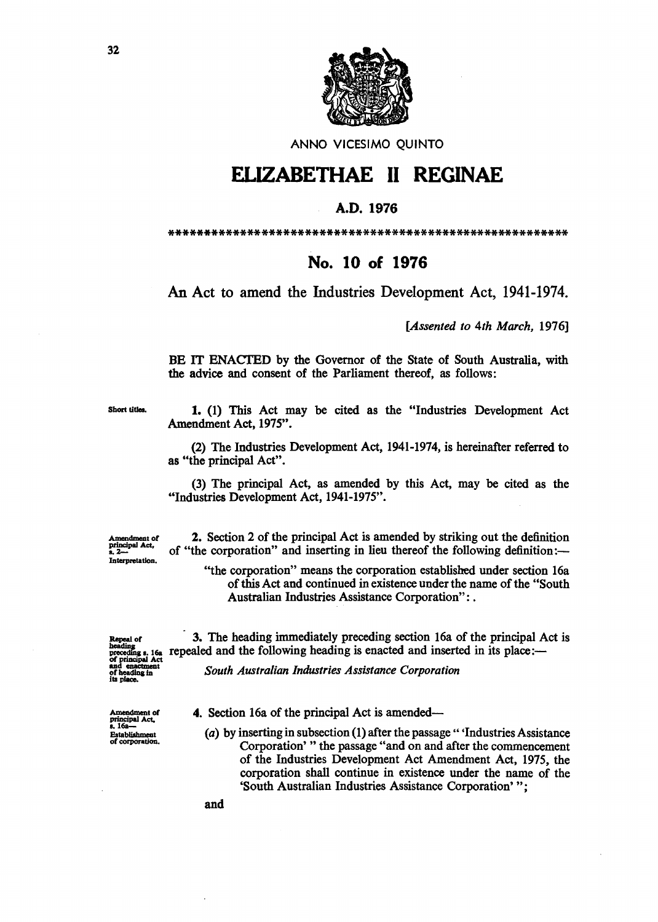

ANNO VICESIMO QUINTO

## ELIZABETHAE 11 REGINAE

## A.D. 1976

\*\*\*\*\*\*\*\*\*\*\*\*\*\*\*\*\*\*\*\*\*\*\*\*\*\*\*\*\*\*\*\*\*\*\*\*\*\*\*\*\*\*\*\*\*\*\*\*\*\*\*\*\*\*\*\*

## No. 10 of 1976

An Act to amend the Industries Development Act, 1941-1974.

*[Assented to 4th March, 1976]* 

BE IT ENACTED by the Governor of the State of South Australia, with the advice and consent of the Parliament thereof, as follows:

Short titles. 1. (1) This Act may be cited as the "Industries Development Act Amendment Act, 1975".

> (2) The Industries Development Act, 1941-1974, is hereinafter referred to as "the principal Act".

> (3) The principal Act, as amended by this Act, may be cited as the "Industries Development Act, 1941-1975".

Amendment of principal Act, Interpretation.

2. Section 2 of the principal Act is amended by striking out the definition of "the corporation" and inserting in lieu thereof the following definition:-

"the corporation" means the corporation established under section 16a of this Act and continued in existence under the name of the "South Australian Industries Assistance Corporation": .

Amendment of<br>principal Act.<br>s. 16a---Establishment<br>of corporation.

Repeal of 3. The heading immediately preceding section 16a of the principal Act is beading  $s_i$  16a repealed and the following heading is enacted and inserted in its place: repealed and the following heading is enacted and inserted in its place:-

<sup>and</sup> enacument<br>of beading in Flowth *Australian Industries Assistance Corporation*<br>its place.

4. Section 16a of the principal Act is amended-

(a) by inserting in subsection  $(1)$  after the passage " 'Industries Assistance Corporation' " the passage "and on and after the commencement of the Industries Development Act Amendment Act, 1975, the corporation shall continue in existence under the name of the 'South Australian Industries Assistance Corporation' ";

32

and